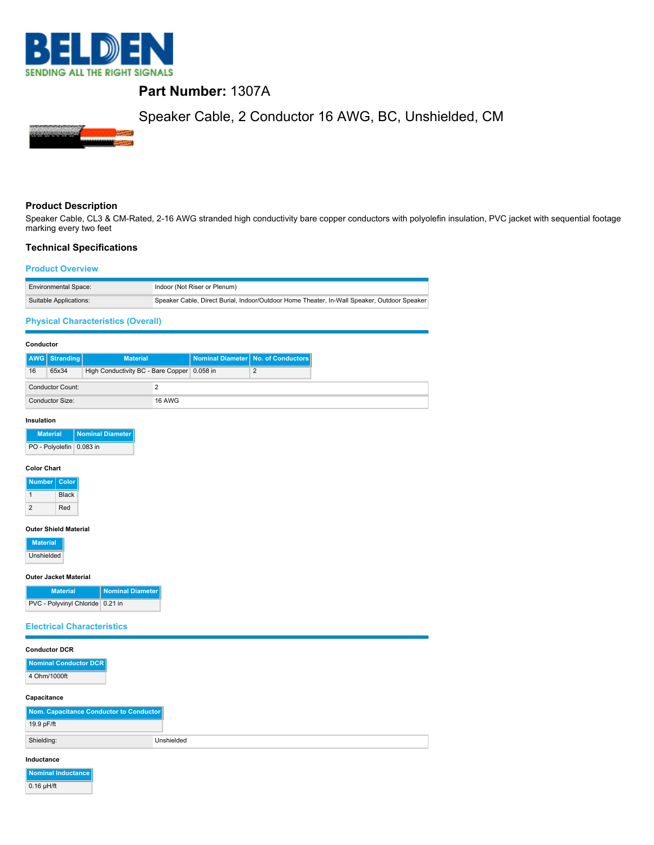

# **Part Number:** 1307A

# Speaker Cable, 2 Conductor 16 AWG, BC, Unshielded, CM



## **Product Description**

Speaker Cable, CL3 & CM-Rated, 2-16 AWG stranded high conductivity bare copper conductors with polyolefin insulation, PVC jacket with sequential footage marking every two feet

### **Technical Specifications**

#### **Product Overview**

| <b>Environmental Space:</b> | Indoor (Not Riser or Plenum)                                                                |
|-----------------------------|---------------------------------------------------------------------------------------------|
| Suitable Applications:      | Speaker Cable, Direct Burial, Indoor/Outdoor Home Theater, In-Wall Speaker, Outdoor Speaker |

### **Physical Characteristics (Overall)**

#### **Conductor**

|                         | <b>AWG</b> Stranding   | <b>Material</b>                               |               | Nominal Diameter No. of Conductors |
|-------------------------|------------------------|-----------------------------------------------|---------------|------------------------------------|
| 16                      | 65x34                  | High Conductivity BC - Bare Copper   0.058 in |               |                                    |
| <b>Conductor Count:</b> |                        |                                               |               |                                    |
|                         | <b>Conductor Size:</b> |                                               | <b>16 AWG</b> |                                    |

#### **Insulation**

| <b>Material</b>          | <b>Nominal Diameter</b> |
|--------------------------|-------------------------|
| PO - Polyolefin 0.083 in |                         |

#### **Color Chart**

| <b>Number</b> | Color        |
|---------------|--------------|
|               | <b>Black</b> |
| 2             | Red          |

#### **Outer Shield Material**

| <b>Material</b> |
|-----------------|
| Unshielded      |

0.16 µH/ft

#### **Outer Jacket Material**

| <b>Material</b>                    | Nominal Diameter |
|------------------------------------|------------------|
| PVC - Polyvinyl Chloride   0.21 in |                  |

### **Electrical Characteristics**

| <b>Conductor DCR</b>                    |            |  |  |
|-----------------------------------------|------------|--|--|
| Nominal Conductor DCR                   |            |  |  |
| 4 Ohm/1000ft                            |            |  |  |
| Capacitance                             |            |  |  |
| Nom. Capacitance Conductor to Conductor |            |  |  |
| 19.9 pF/ft                              |            |  |  |
| Shielding:                              | Unshielded |  |  |
|                                         |            |  |  |
| Inductance                              |            |  |  |
| Nominal Inductance                      |            |  |  |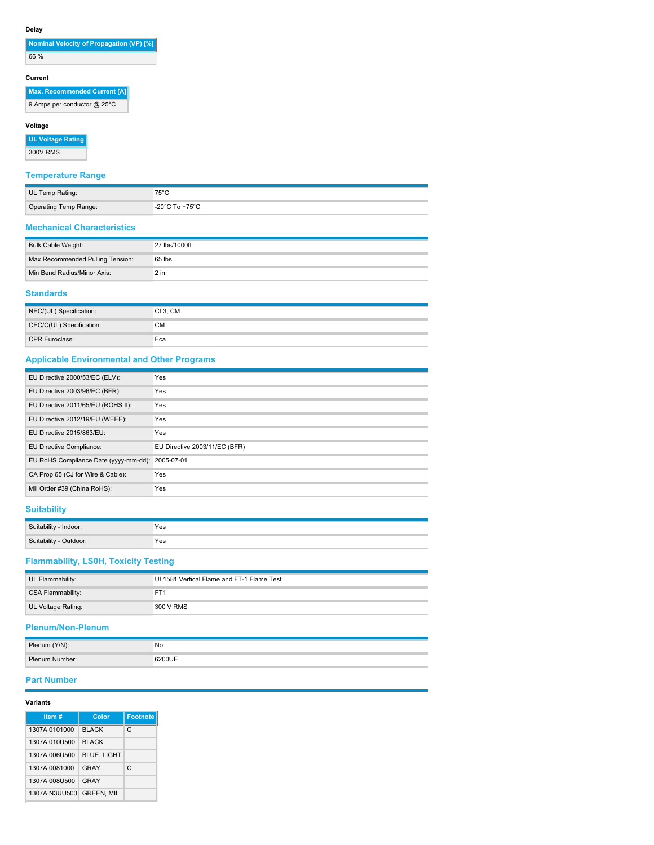# **Delay**

| Nominal Velocity of Propagation (VP) [%] |
|------------------------------------------|
| 66 %                                     |

# **Current**

| <b>Max. Recommended Current [A]</b> |
|-------------------------------------|
| 9 Amps per conductor @ 25°C         |

### **Voltage**

**UL Voltage Rating** 300V RMS

# **Temperature Range**

| UL Temp Rating:       |                         |
|-----------------------|-------------------------|
| Operating Temp Range: | $^\circ$ -20°C To +75°C |

### **Mechanical Characteristics**

| Bulk Cable Weight:               | 27 lbs/1000ft |
|----------------------------------|---------------|
| Max Recommended Pulling Tension: | 65 lbs        |
| Min Bend Radius/Minor Axis:      | $2$ in        |
|                                  |               |

### **Standards**

| NEC/(UL) Specification:  | CL3, CM |
|--------------------------|---------|
| CEC/C(UL) Specification: | СM      |
| <b>CPR Euroclass:</b>    | Eca     |

# **Applicable Environmental and Other Programs**

| EU Directive 2000/53/EC (ELV):                   | Yes                           |
|--------------------------------------------------|-------------------------------|
| EU Directive 2003/96/EC (BFR):                   | Yes                           |
| EU Directive 2011/65/EU (ROHS II):               | Yes                           |
| EU Directive 2012/19/EU (WEEE):                  | Yes                           |
| EU Directive 2015/863/EU:                        | Yes                           |
| EU Directive Compliance:                         | EU Directive 2003/11/EC (BFR) |
| EU RoHS Compliance Date (yyyy-mm-dd): 2005-07-01 |                               |
| CA Prop 65 (CJ for Wire & Cable):                | Yes                           |
| MII Order #39 (China RoHS):                      | Yes                           |

# **Suitability**

| - Cuitability<br>Indoor:             | Yes |
|--------------------------------------|-----|
| $C_{11}$<br>arahility of<br>:Jutdoor | Yes |

# **Flammability, LS0H, Toxicity Testing**

| UL Flammability:   | UL1581 Vertical Flame and FT-1 Flame Test |  |
|--------------------|-------------------------------------------|--|
| CSA Flammability:  |                                           |  |
| UL Voltage Rating: | 300 V RMS                                 |  |

# **Plenum/Non-Plenum**

| Plenum (Y/N):  | No |
|----------------|----|
| Plenum Number: |    |

### **Part Number**

| Item#         | Color              | <b>Footnote</b> |
|---------------|--------------------|-----------------|
| 1307A 0101000 | <b>BLACK</b>       | C               |
| 1307A 010U500 | <b>BI ACK</b>      |                 |
| 1307A 006U500 | <b>BLUE, LIGHT</b> |                 |
| 1307A 0081000 | GRAY               | C               |
| 1307A 008U500 | GRAY               |                 |
| 1307A N3UU500 | <b>GREEN, MIL</b>  |                 |